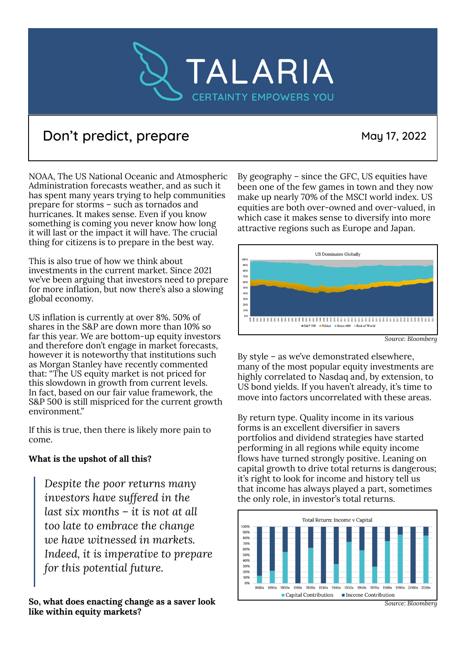

## Don't predict, prepare May 17, 2022

NOAA, The US National Oceanic and Atmospheric Administration forecasts weather, and as such it has spent many years trying to help communities prepare for storms – such as tornados and hurricanes. It makes sense. Even if you know something is coming you never know how long it will last or the impact it will have. The crucial thing for citizens is to prepare in the best way.

This is also true of how we think about investments in the current market. Since 2021 we've been arguing that investors need to prepare for more inflation, but now there's also a slowing global economy.

US inflation is currently at over 8%. 50% of shares in the S&P are down more than 10% so far this year. We are bottom-up equity investors and therefore don't engage in market forecasts, however it is noteworthy that institutions such as Morgan Stanley have recently commented that: "The US equity market is not priced for this slowdown in growth from current levels. In fact, based on our fair value framework, the S&P 500 is still mispriced for the current growth environment."

If this is true, then there is likely more pain to come.

## **What is the upshot of all this?**

*Despite the poor returns many investors have suffered in the last six months – it is not at all too late to embrace the change we have witnessed in markets. Indeed, it is imperative to prepare for this potential future.*

**So, what does enacting change as a saver look like within equity markets?**

By geography – since the GFC, US equities have been one of the few games in town and they now make up nearly 70% of the MSCI world index. US equities are both over-owned and over-valued, in which case it makes sense to diversify into more attractive regions such as Europe and Japan.



*Source: Bloomberg*

By style – as we've demonstrated elsewhere, many of the most popular equity investments are highly correlated to Nasdaq and, by extension, to US bond yields. If you haven't already, it's time to move into factors uncorrelated with these areas.

By return type. Quality income in its various forms is an excellent diversifier in savers portfolios and dividend strategies have started performing in all regions while equity income flows have turned strongly positive. Leaning on capital growth to drive total returns is dangerous; it's right to look for income and history tell us that income has always played a part, sometimes the only role, in investor's total returns.



*Source: Bloomberg*